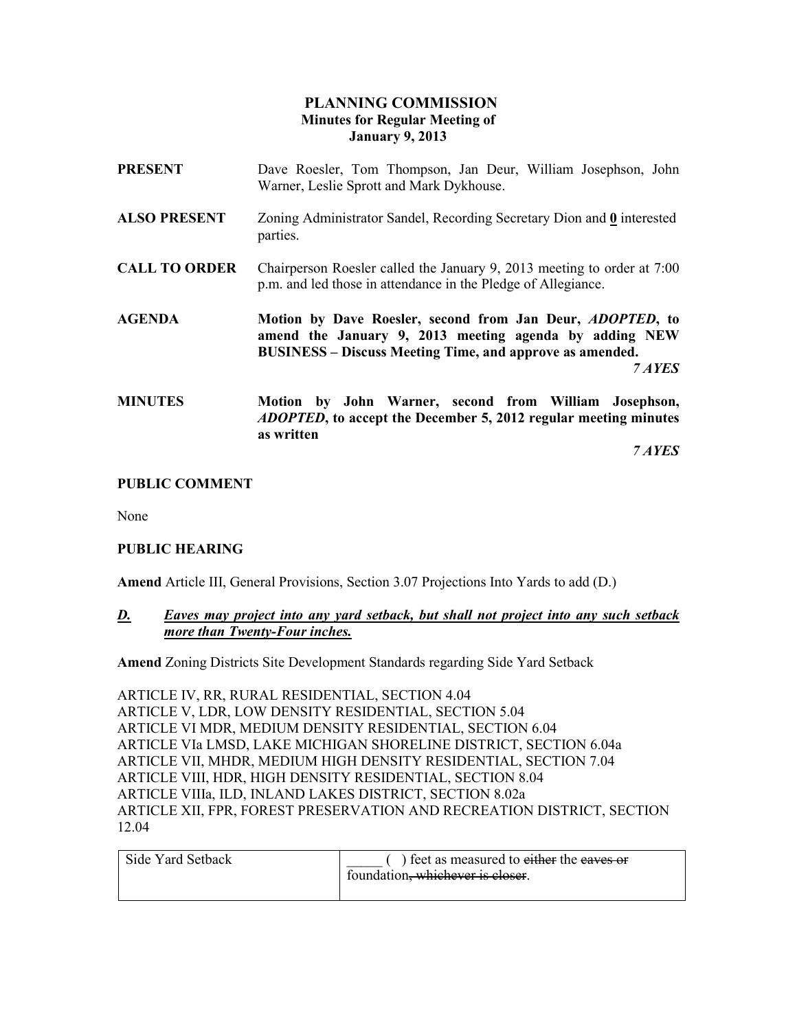## PLANNING COMMISSION Minutes for Regular Meeting of January 9, 2013

| <b>PRESENT</b>       | Dave Roesler, Tom Thompson, Jan Deur, William Josephson, John<br>Warner, Leslie Sprott and Mark Dykhouse.                                                                                                |
|----------------------|----------------------------------------------------------------------------------------------------------------------------------------------------------------------------------------------------------|
| <b>ALSO PRESENT</b>  | Zoning Administrator Sandel, Recording Secretary Dion and 0 interested<br>parties.                                                                                                                       |
| <b>CALL TO ORDER</b> | Chairperson Roesler called the January 9, 2013 meeting to order at 7:00<br>p.m. and led those in attendance in the Pledge of Allegiance.                                                                 |
| <b>AGENDA</b>        | Motion by Dave Roesler, second from Jan Deur, <i>ADOPTED</i> , to<br>amend the January 9, 2013 meeting agenda by adding NEW<br><b>BUSINESS</b> – Discuss Meeting Time, and approve as amended.<br>7 AYES |
| <b>MINUTES</b>       | Motion by John Warner, second from William Josephson,<br><i>ADOPTED</i> , to accept the December 5, 2012 regular meeting minutes                                                                         |

7 AYES

#### PUBLIC COMMENT

None

#### PUBLIC HEARING

Amend Article III, General Provisions, Section 3.07 Projections Into Yards to add (D.)

### D. Eaves may project into any yard setback, but shall not project into any such setback more than Twenty-Four inches.

Amend Zoning Districts Site Development Standards regarding Side Yard Setback

ARTICLE IV, RR, RURAL RESIDENTIAL, SECTION 4.04 ARTICLE V, LDR, LOW DENSITY RESIDENTIAL, SECTION 5.04 ARTICLE VI MDR, MEDIUM DENSITY RESIDENTIAL, SECTION 6.04 ARTICLE VIa LMSD, LAKE MICHIGAN SHORELINE DISTRICT, SECTION 6.04a ARTICLE VII, MHDR, MEDIUM HIGH DENSITY RESIDENTIAL, SECTION 7.04 ARTICLE VIII, HDR, HIGH DENSITY RESIDENTIAL, SECTION 8.04 ARTICLE VIIIa, ILD, INLAND LAKES DISTRICT, SECTION 8.02a ARTICLE XII, FPR, FOREST PRESERVATION AND RECREATION DISTRICT, SECTION 12.04

| Side Yard Setback | ) feet as measured to either the eaves or |
|-------------------|-------------------------------------------|
|                   | foundation, whichever is closer.          |
|                   |                                           |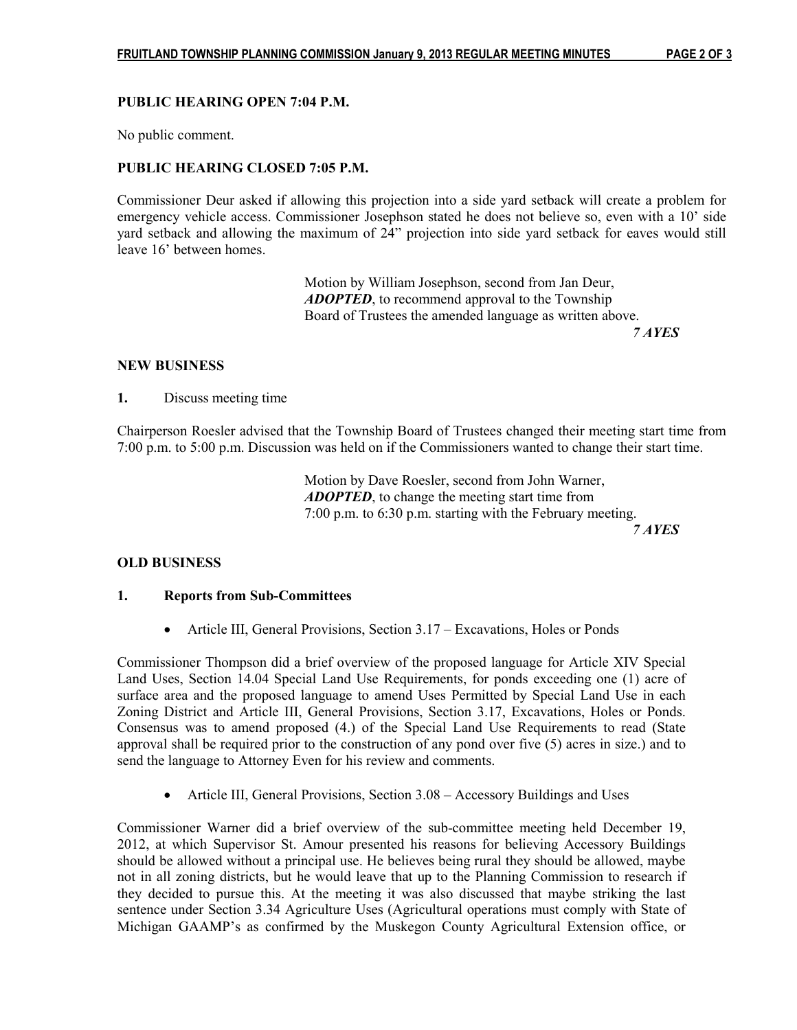### PUBLIC HEARING OPEN 7:04 P.M.

No public comment.

### PUBLIC HEARING CLOSED 7:05 P.M.

Commissioner Deur asked if allowing this projection into a side yard setback will create a problem for emergency vehicle access. Commissioner Josephson stated he does not believe so, even with a 10' side yard setback and allowing the maximum of 24" projection into side yard setback for eaves would still leave 16' between homes.

 Motion by William Josephson, second from Jan Deur, ADOPTED, to recommend approval to the Township Board of Trustees the amended language as written above. 7 AYES

#### NEW BUSINESS

1. Discuss meeting time

Chairperson Roesler advised that the Township Board of Trustees changed their meeting start time from 7:00 p.m. to 5:00 p.m. Discussion was held on if the Commissioners wanted to change their start time.

> Motion by Dave Roesler, second from John Warner, ADOPTED, to change the meeting start time from 7:00 p.m. to 6:30 p.m. starting with the February meeting. 7 AYES

#### OLD BUSINESS

#### 1. Reports from Sub-Committees

• Article III, General Provisions, Section 3.17 – Excavations, Holes or Ponds

Commissioner Thompson did a brief overview of the proposed language for Article XIV Special Land Uses, Section 14.04 Special Land Use Requirements, for ponds exceeding one (1) acre of surface area and the proposed language to amend Uses Permitted by Special Land Use in each Zoning District and Article III, General Provisions, Section 3.17, Excavations, Holes or Ponds. Consensus was to amend proposed (4.) of the Special Land Use Requirements to read (State approval shall be required prior to the construction of any pond over five (5) acres in size.) and to send the language to Attorney Even for his review and comments.

• Article III, General Provisions, Section 3.08 – Accessory Buildings and Uses

Commissioner Warner did a brief overview of the sub-committee meeting held December 19, 2012, at which Supervisor St. Amour presented his reasons for believing Accessory Buildings should be allowed without a principal use. He believes being rural they should be allowed, maybe not in all zoning districts, but he would leave that up to the Planning Commission to research if they decided to pursue this. At the meeting it was also discussed that maybe striking the last sentence under Section 3.34 Agriculture Uses (Agricultural operations must comply with State of Michigan GAAMP's as confirmed by the Muskegon County Agricultural Extension office, or